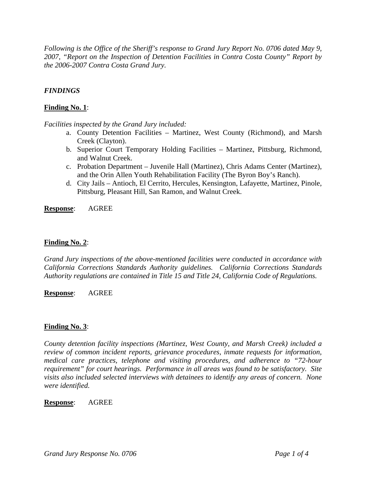*Following is the Office of the Sheriff's response to Grand Jury Report No. 0706 dated May 9, 2007, "Report on the Inspection of Detention Facilities in Contra Costa County" Report by the 2006-2007 Contra Costa Grand Jury.* 

# *FINDINGS*

# **Finding No. 1**:

*Facilities inspected by the Grand Jury included:* 

- a. County Detention Facilities Martinez, West County (Richmond), and Marsh Creek (Clayton).
- b. Superior Court Temporary Holding Facilities Martinez, Pittsburg, Richmond, and Walnut Creek.
- c. Probation Department Juvenile Hall (Martinez), Chris Adams Center (Martinez), and the Orin Allen Youth Rehabilitation Facility (The Byron Boy's Ranch).
- d. City Jails Antioch, El Cerrito, Hercules, Kensington, Lafayette, Martinez, Pinole, Pittsburg, Pleasant Hill, San Ramon, and Walnut Creek.

**Response**: AGREE

# **Finding No. 2**:

*Grand Jury inspections of the above-mentioned facilities were conducted in accordance with California Corrections Standards Authority guidelines. California Corrections Standards Authority regulations are contained in Title 15 and Title 24, California Code of Regulations.* 

**Response**: AGREE

# **Finding No. 3**:

*County detention facility inspections (Martinez, West County, and Marsh Creek) included a review of common incident reports, grievance procedures, inmate requests for information, medical care practices, telephone and visiting procedures, and adherence to "72-hour requirement" for court hearings. Performance in all areas was found to be satisfactory. Site visits also included selected interviews with detainees to identify any areas of concern. None were identified.* 

**Response**: AGREE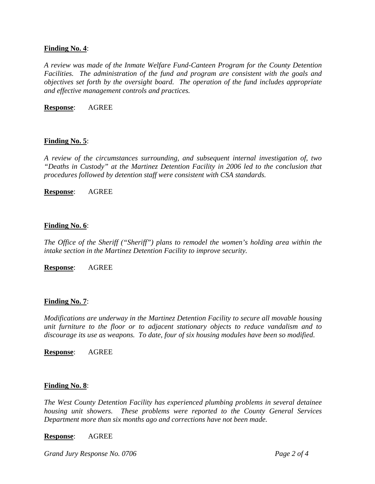## **Finding No. 4**:

*A review was made of the Inmate Welfare Fund-Canteen Program for the County Detention Facilities. The administration of the fund and program are consistent with the goals and objectives set forth by the oversight board. The operation of the fund includes appropriate and effective management controls and practices.* 

**Response**: AGREE

# **Finding No. 5**:

*A review of the circumstances surrounding, and subsequent internal investigation of, two "Deaths in Custody" at the Martinez Detention Facility in 2006 led to the conclusion that procedures followed by detention staff were consistent with CSA standards.* 

**Response**: AGREE

### **Finding No. 6**:

*The Office of the Sheriff ("Sheriff") plans to remodel the women's holding area within the intake section in the Martinez Detention Facility to improve security.* 

**Response**: AGREE

### **Finding No. 7**:

*Modifications are underway in the Martinez Detention Facility to secure all movable housing unit furniture to the floor or to adjacent stationary objects to reduce vandalism and to discourage its use as weapons. To date, four of six housing modules have been so modified*.

**Response**: AGREE

### **Finding No. 8**:

*The West County Detention Facility has experienced plumbing problems in several detainee housing unit showers. These problems were reported to the County General Services Department more than six months ago and corrections have not been made.* 

### **Response**: AGREE

*Grand Jury Response No. 0706* Page 2 of 4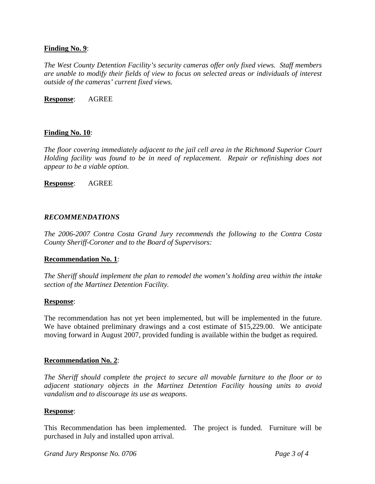# **Finding No. 9**:

*The West County Detention Facility's security cameras offer only fixed views. Staff members are unable to modify their fields of view to focus on selected areas or individuals of interest outside of the cameras' current fixed views.* 

### **Response**: AGREE

# **Finding No. 10**:

*The floor covering immediately adjacent to the jail cell area in the Richmond Superior Court Holding facility was found to be in need of replacement. Repair or refinishing does not appear to be a viable option.* 

**Response**: AGREE

### *RECOMMENDATIONS*

*The 2006-2007 Contra Costa Grand Jury recommends the following to the Contra Costa County Sheriff-Coroner and to the Board of Supervisors:* 

# **Recommendation No. 1**:

*The Sheriff should implement the plan to remodel the women's holding area within the intake section of the Martinez Detention Facility.* 

### **Response**:

The recommendation has not yet been implemented, but will be implemented in the future. We have obtained preliminary drawings and a cost estimate of \$15,229.00. We anticipate moving forward in August 2007, provided funding is available within the budget as required.

# **Recommendation No. 2**:

*The Sheriff should complete the project to secure all movable furniture to the floor or to adjacent stationary objects in the Martinez Detention Facility housing units to avoid vandalism and to discourage its use as weapons.* 

### **Response**:

This Recommendation has been implemented. The project is funded. Furniture will be purchased in July and installed upon arrival.